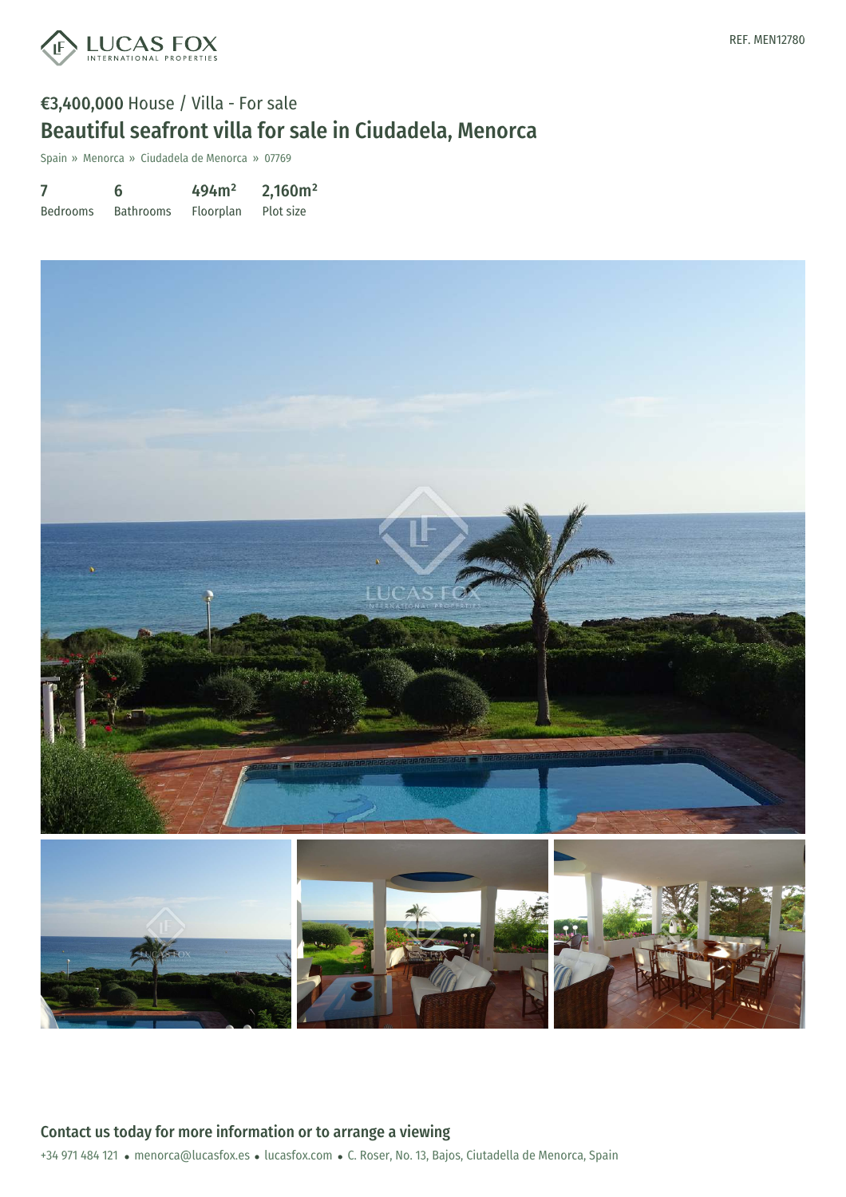

# €3,400,000 House / Villa - For sale Beautiful seafront villa for sale in Ciudadela, Menorca

Spain » Menorca » Ciudadela de Menorca » 07769

7 Bedrooms 6 Bathrooms 494m² Floorplan 2,160m² Plot size

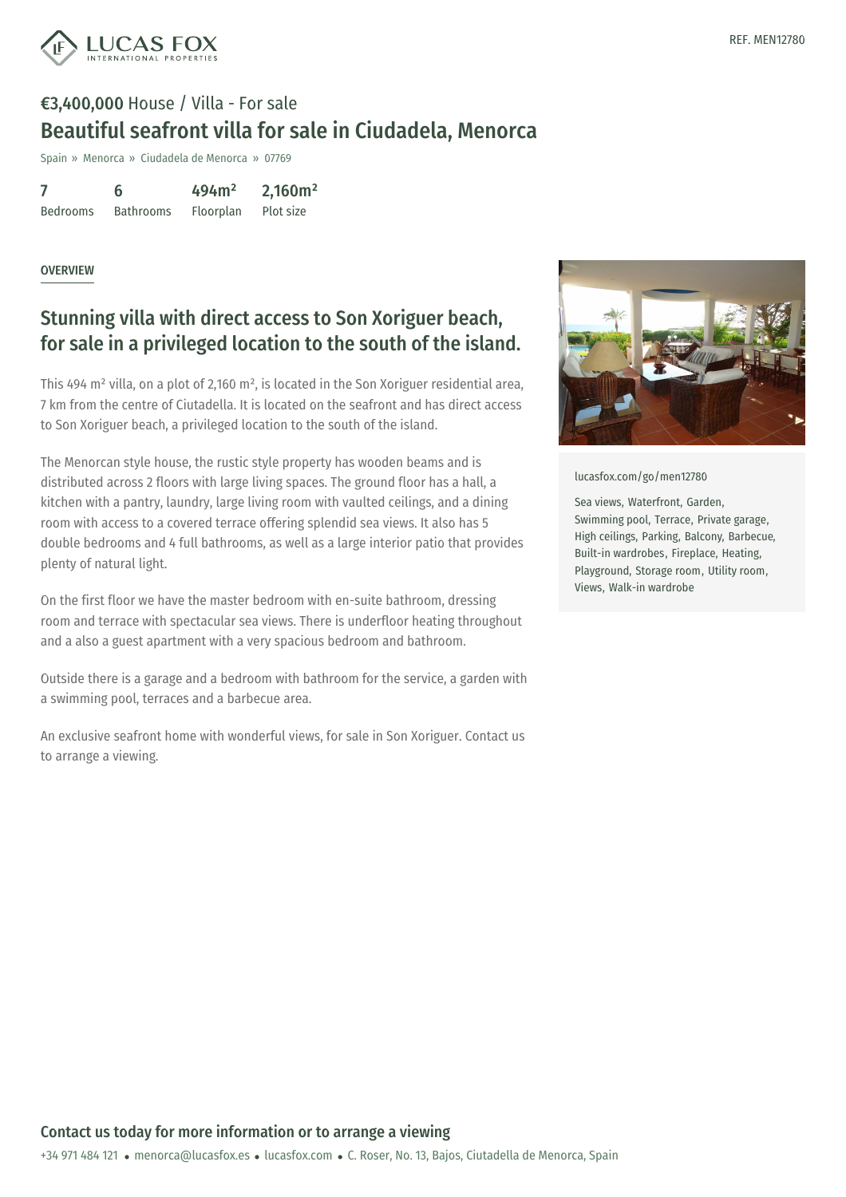

# €3,400,000 House / Villa - For sale Beautiful seafront villa for sale in Ciudadela, Menorca

Spain » Menorca » Ciudadela de Menorca » 07769

| 7               | 6                | 494m <sup>2</sup> | 2,160m <sup>2</sup> |
|-----------------|------------------|-------------------|---------------------|
| <b>Bedrooms</b> | <b>Bathrooms</b> | Floorplan         | Plot size           |

#### **OVERVIEW**

# Stunning villa with direct access to Son Xoriguer beach, for sale in a privileged location to the south of the island.

This 494 m<sup>2</sup> villa, on a plot of 2,160 m<sup>2</sup>, is located in the Son Xoriguer residential area, 7 km from the centre of Ciutadella. It is located on the seafront and has direct access to Son Xoriguer beach, a privileged location to the south of the island.

The Menorcan style house, the rustic style property has wooden beams and is distributed across 2 floors with large living spaces. The ground floor has a hall, a kitchen with a pantry, laundry, large living room with vaulted ceilings, and a dining room with access to a covered terrace offering splendid sea views. It also has 5 double bedrooms and 4 full bathrooms, as well as a large interior patio that provides plenty of natural light.

On the first floor we have the master bedroom with en-suite bathroom, dressing room and terrace with spectacular sea views. There is underfloor heating throughout and a also a guest apartment with a very spacious bedroom and bathroom.

Outside there is a garage and a bedroom with bathroom for the service, a garden with a swimming pool, terraces and a barbecue area.

An exclusive seafront home with wonderful views, for sale in Son Xoriguer. Contact us to arrange a viewing.



[lucasfox.com/go/men12780](https://www.lucasfox.com/go/men12780)

Sea views, Waterfront, Garden, Swimming pool, Terrace, Private garage, High ceilings, Parking, Balcony, Barbecue, Built-in wardrobes, Fireplace, Heating, Playground, Storage room, Utility room, Views, Walk-in wardrobe